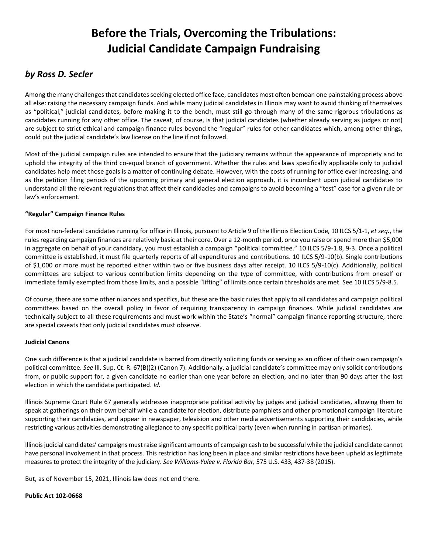# **Before the Trials, Overcoming the Tribulations: Judicial Candidate Campaign Fundraising**

## *by Ross D. Secler*

Among the many challenges that candidates seeking elected office face, candidates most often bemoan one painstaking process above all else: raising the necessary campaign funds. And while many judicial candidates in Illinois may want to avoid thinking of themselves as "political," judicial candidates, before making it to the bench, must still go through many of the same rigorous tribulations as candidates running for any other office. The caveat, of course, is that judicial candidates (whether already serving as judges or not) are subject to strict ethical and campaign finance rules beyond the "regular" rules for other candidates which, among other things, could put the judicial candidate's law license on the line if not followed.

Most of the judicial campaign rules are intended to ensure that the judiciary remains without the appearance of impropriety and to uphold the integrity of the third co-equal branch of government. Whether the rules and laws specifically applicable only to judicial candidates help meet those goals is a matter of continuing debate. However, with the costs of running for office ever increasing, and as the petition filing periods of the upcoming primary and general election approach, it is incumbent upon judicial candidates to understand all the relevant regulations that affect their candidacies and campaigns to avoid becoming a "test" case for a given rule or law's enforcement.

### **"Regular" Campaign Finance Rules**

For most non-federal candidates running for office in Illinois, pursuant to Article 9 of the Illinois Election Code, 10 ILCS 5/1-1, *et seq.*, the rules regarding campaign finances are relatively basic at their core. Over a 12-month period, once you raise or spend more than \$5,000 in aggregate on behalf of your candidacy, you must establish a campaign "political committee." 10 ILCS 5/9-1.8, 9-3. Once a political committee is established, it must file quarterly reports of all expenditures and contributions. 10 ILCS 5/9-10(b). Single contributions of \$1,000 or more must be reported either within two or five business days after receipt. 10 ILCS 5/9-10(c). Additionally, political committees are subject to various contribution limits depending on the type of committee, with contributions from oneself or immediate family exempted from those limits, and a possible "lifting" of limits once certain thresholds are met. See 10 ILCS 5/9-8.5.

Of course, there are some other nuances and specifics, but these are the basic rules that apply to all candidates and campaign political committees based on the overall policy in favor of requiring transparency in campaign finances. While judicial candidates are technically subject to all these requirements and must work within the State's "normal" campaign finance reporting structure, there are special caveats that only judicial candidates must observe.

### **Judicial Canons**

One such difference is that a judicial candidate is barred from directly soliciting funds or serving as an officer of their own campaign's political committee. *See* Ill. Sup. Ct. R. 67(B)(2) (Canon 7). Additionally, a judicial candidate's committee may only solicit contributions from, or public support for, a given candidate no earlier than one year before an election, and no later than 90 days after the last election in which the candidate participated. *Id.*

Illinois Supreme Court Rule 67 generally addresses inappropriate political activity by judges and judicial candidates, allowing them to speak at gatherings on their own behalf while a candidate for election, distribute pamphlets and other promotional campaign literature supporting their candidacies, and appear in newspaper, television and other media advertisements supporting their candidacies, while restricting various activities demonstrating allegiance to any specific political party (even when running in partisan primaries).

Illinois judicial candidates' campaigns must raise significant amounts of campaign cash to be successful while the judicial candidate cannot have personal involvement in that process. This restriction has long been in place and similar restrictions have been upheld as legitimate measures to protect the integrity of the judiciary. *See Williams-Yulee v. Florida Bar,* 575 U.S. 433, 437-38 (2015).

But, as of November 15, 2021, Illinois law does not end there.

### **Public Act 102-0668**